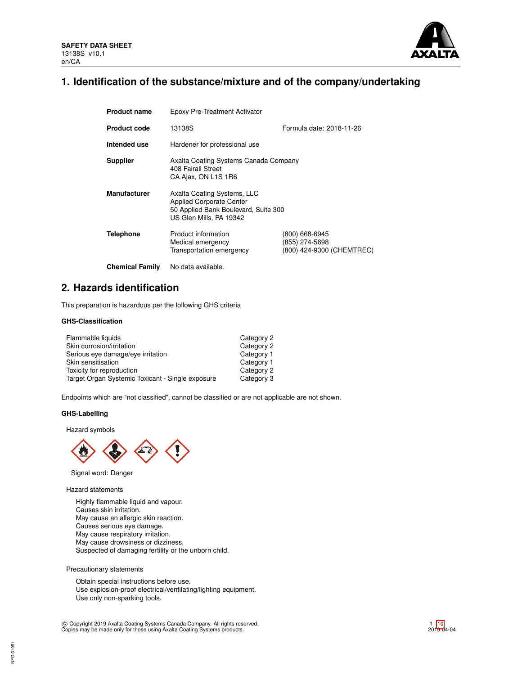

# **1. Identification of the substance/mixture and of the company/undertaking**

| <b>Product name</b>    | Epoxy Pre-Treatment Activator                                                                                                     |                                                               |  |  |  |
|------------------------|-----------------------------------------------------------------------------------------------------------------------------------|---------------------------------------------------------------|--|--|--|
| <b>Product code</b>    | Formula date: 2018-11-26<br>13138S                                                                                                |                                                               |  |  |  |
| Intended use           | Hardener for professional use                                                                                                     |                                                               |  |  |  |
| <b>Supplier</b>        | Axalta Coating Systems Canada Company<br>408 Fairall Street<br>CA Ajax, ON L1S 1R6                                                |                                                               |  |  |  |
| <b>Manufacturer</b>    | Axalta Coating Systems, LLC<br><b>Applied Corporate Center</b><br>50 Applied Bank Boulevard, Suite 300<br>US Glen Mills, PA 19342 |                                                               |  |  |  |
| Telephone              | Product information<br>Medical emergency<br>Transportation emergency                                                              | (800) 668-6945<br>(855) 274-5698<br>(800) 424-9300 (CHEMTREC) |  |  |  |
| <b>Chemical Family</b> | No data available.                                                                                                                |                                                               |  |  |  |

# **2. Hazards identification**

This preparation is hazardous per the following GHS criteria

## **GHS-Classification**

| Flammable liquids                                | Category 2 |
|--------------------------------------------------|------------|
| Skin corrosion/irritation                        | Category 2 |
| Serious eye damage/eye irritation                | Category 1 |
| Skin sensitisation                               | Category 1 |
| Toxicity for reproduction                        | Category 2 |
| Target Organ Systemic Toxicant - Single exposure | Category 3 |

Endpoints which are "not classified", cannot be classified or are not applicable are not shown.

### **GHS-Labelling**

Hazard symbols



Signal word: Danger

Hazard statements

Highly flammable liquid and vapour. Causes skin irritation. May cause an allergic skin reaction. Causes serious eye damage. May cause respiratory irritation. May cause drowsiness or dizziness. Suspected of damaging fertility or the unborn child.

Precautionary statements

Obtain special instructions before use. Use explosion-proof electrical/ventilating/lighting equipment. Use only non-sparking tools.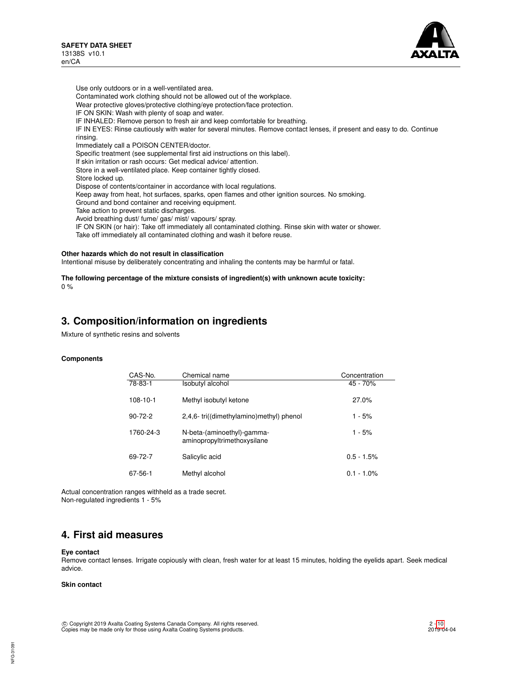

Use only outdoors or in a well-ventilated area. Contaminated work clothing should not be allowed out of the workplace. Wear protective gloves/protective clothing/eye protection/face protection. IF ON SKIN: Wash with plenty of soap and water. IF INHALED: Remove person to fresh air and keep comfortable for breathing. IF IN EYES: Rinse cautiously with water for several minutes. Remove contact lenses, if present and easy to do. Continue rinsing. Immediately call a POISON CENTER/doctor. Specific treatment (see supplemental first aid instructions on this label). If skin irritation or rash occurs: Get medical advice/ attention. Store in a well-ventilated place. Keep container tightly closed. Store locked up. Dispose of contents/container in accordance with local regulations. Keep away from heat, hot surfaces, sparks, open flames and other ignition sources. No smoking. Ground and bond container and receiving equipment. Take action to prevent static discharges. Avoid breathing dust/ fume/ gas/ mist/ vapours/ spray. IF ON SKIN (or hair): Take off immediately all contaminated clothing. Rinse skin with water or shower. Take off immediately all contaminated clothing and wash it before reuse.

#### **Other hazards which do not result in classification**

Intentional misuse by deliberately concentrating and inhaling the contents may be harmful or fatal.

#### **The following percentage of the mixture consists of ingredient(s) with unknown acute toxicity:**  $0 %$

# **3. Composition/information on ingredients**

Mixture of synthetic resins and solvents

#### **Components**

| CAS-No.        | Chemical name                                             | Concentration |
|----------------|-----------------------------------------------------------|---------------|
| 78-83-1        | Isobutyl alcohol                                          | 45 - 70%      |
| $108 - 10 - 1$ | Methyl isobutyl ketone                                    | 27.0%         |
| $90 - 72 - 2$  | 2,4,6-tri((dimethylamino)methyl) phenol                   | $1 - 5%$      |
| 1760-24-3      | N-beta-(aminoethyl)-gamma-<br>aminopropyltrimethoxysilane | $1 - 5%$      |
| 69-72-7        | Salicylic acid                                            | $0.5 - 1.5%$  |
| 67-56-1        | Methyl alcohol                                            | $0.1 - 1.0\%$ |

Actual concentration ranges withheld as a trade secret. Non-regulated ingredients 1 - 5%

## **4. First aid measures**

#### **Eye contact**

Remove contact lenses. Irrigate copiously with clean, fresh water for at least 15 minutes, holding the eyelids apart. Seek medical advice.

### **Skin contact**

 c Copyright 2019 Axalta Coating Systems Canada Company. All rights reserved. Copies may be made only for those using Axalta Coating Systems products.

NFG-3109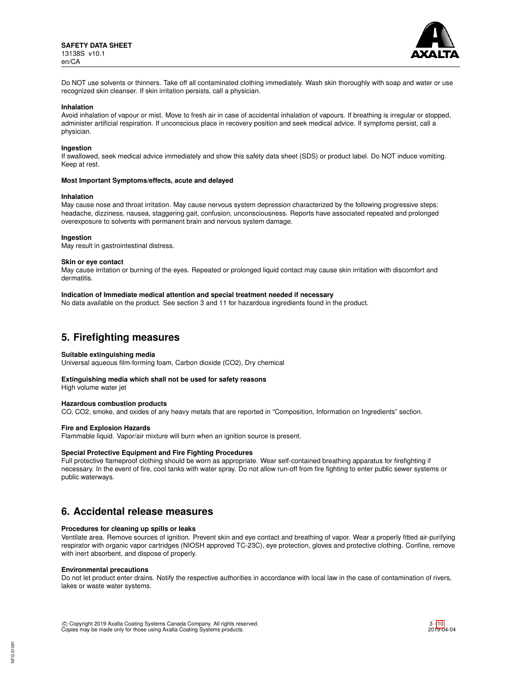

Do NOT use solvents or thinners. Take off all contaminated clothing immediately. Wash skin thoroughly with soap and water or use recognized skin cleanser. If skin irritation persists, call a physician.

#### **Inhalation**

Avoid inhalation of vapour or mist. Move to fresh air in case of accidental inhalation of vapours. If breathing is irregular or stopped, administer artificial respiration. If unconscious place in recovery position and seek medical advice. If symptoms persist, call a physician.

#### **Ingestion**

If swallowed, seek medical advice immediately and show this safety data sheet (SDS) or product label. Do NOT induce vomiting. Keep at rest.

#### **Most Important Symptoms/effects, acute and delayed**

#### **Inhalation**

May cause nose and throat irritation. May cause nervous system depression characterized by the following progressive steps: headache, dizziness, nausea, staggering gait, confusion, unconsciousness. Reports have associated repeated and prolonged overexposure to solvents with permanent brain and nervous system damage.

#### **Ingestion**

May result in gastrointestinal distress.

#### **Skin or eye contact**

May cause irritation or burning of the eyes. Repeated or prolonged liquid contact may cause skin irritation with discomfort and dermatitis.

### **Indication of Immediate medical attention and special treatment needed if necessary**

No data available on the product. See section 3 and 11 for hazardous ingredients found in the product.

## **5. Firefighting measures**

#### **Suitable extinguishing media**

Universal aqueous film-forming foam, Carbon dioxide (CO2), Dry chemical

#### **Extinguishing media which shall not be used for safety reasons**

High volume water jet

### **Hazardous combustion products**

CO, CO2, smoke, and oxides of any heavy metals that are reported in "Composition, Information on Ingredients" section.

#### **Fire and Explosion Hazards**

Flammable liquid. Vapor/air mixture will burn when an ignition source is present.

#### **Special Protective Equipment and Fire Fighting Procedures**

Full protective flameproof clothing should be worn as appropriate. Wear self-contained breathing apparatus for firefighting if necessary. In the event of fire, cool tanks with water spray. Do not allow run-off from fire fighting to enter public sewer systems or public waterways.

## **6. Accidental release measures**

### **Procedures for cleaning up spills or leaks**

Ventilate area. Remove sources of ignition. Prevent skin and eye contact and breathing of vapor. Wear a properly fitted air-purifying respirator with organic vapor cartridges (NIOSH approved TC-23C), eye protection, gloves and protective clothing. Confine, remove with inert absorbent, and dispose of properly.

#### **Environmental precautions**

Do not let product enter drains. Notify the respective authorities in accordance with local law in the case of contamination of rivers, lakes or waste water systems.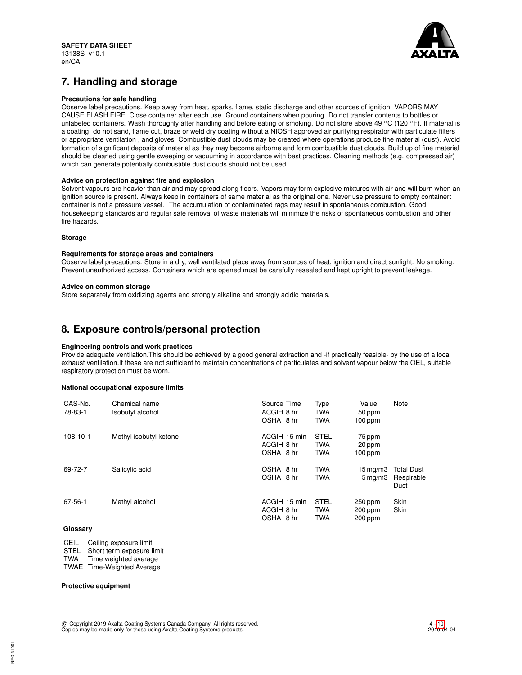

# **7. Handling and storage**

## **Precautions for safe handling**

Observe label precautions. Keep away from heat, sparks, flame, static discharge and other sources of ignition. VAPORS MAY CAUSE FLASH FIRE. Close container after each use. Ground containers when pouring. Do not transfer contents to bottles or unlabeled containers. Wash thoroughly after handling and before eating or smoking. Do not store above 49 °C (120 °F). If material is a coating: do not sand, flame cut, braze or weld dry coating without a NIOSH approved air purifying respirator with particulate filters or appropriate ventilation , and gloves. Combustible dust clouds may be created where operations produce fine material (dust). Avoid formation of significant deposits of material as they may become airborne and form combustible dust clouds. Build up of fine material should be cleaned using gentle sweeping or vacuuming in accordance with best practices. Cleaning methods (e.g. compressed air) which can generate potentially combustible dust clouds should not be used.

### **Advice on protection against fire and explosion**

Solvent vapours are heavier than air and may spread along floors. Vapors may form explosive mixtures with air and will burn when an ignition source is present. Always keep in containers of same material as the original one. Never use pressure to empty container: container is not a pressure vessel. The accumulation of contaminated rags may result in spontaneous combustion. Good housekeeping standards and regular safe removal of waste materials will minimize the risks of spontaneous combustion and other fire hazards.

### **Storage**

#### **Requirements for storage areas and containers**

Observe label precautions. Store in a dry, well ventilated place away from sources of heat, ignition and direct sunlight. No smoking. Prevent unauthorized access. Containers which are opened must be carefully resealed and kept upright to prevent leakage.

#### **Advice on common storage**

Store separately from oxidizing agents and strongly alkaline and strongly acidic materials.

# **8. Exposure controls/personal protection**

### **Engineering controls and work practices**

Provide adequate ventilation.This should be achieved by a good general extraction and -if practically feasible- by the use of a local exhaust ventilation.If these are not sufficient to maintain concentrations of particulates and solvent vapour below the OEL, suitable respiratory protection must be worn.

#### **National occupational exposure limits**

| CAS-No.        | Chemical name          | Source Time  | Type        | Value                 | Note               |
|----------------|------------------------|--------------|-------------|-----------------------|--------------------|
| 78-83-1        | Isobutyl alcohol       | ACGIH 8 hr   | <b>TWA</b>  | 50 ppm                |                    |
|                |                        | OSHA 8 hr    | <b>TWA</b>  | $100$ ppm             |                    |
| $108 - 10 - 1$ | Methyl isobutyl ketone | ACGIH 15 min | <b>STEL</b> | 75 ppm                |                    |
|                |                        | ACGIH 8 hr   | <b>TWA</b>  | 20 ppm                |                    |
|                |                        | OSHA 8 hr    | <b>TWA</b>  | $100$ ppm             |                    |
| 69-72-7        | Salicylic acid         | OSHA 8 hr    | <b>TWA</b>  | $15 \,\mathrm{mq/m}$  | <b>Total Dust</b>  |
|                |                        | OSHA 8 hr    | <b>TWA</b>  | $5 \,\mathrm{mq/m}$ 3 | Respirable<br>Dust |
| 67-56-1        | Methyl alcohol         | ACGIH 15 min | <b>STEL</b> | $250$ ppm             | Skin               |
|                |                        | ACGIH 8 hr   | <b>TWA</b>  | $200$ ppm             | Skin               |
|                |                        | OSHA 8 hr    | <b>TWA</b>  | $200$ ppm             |                    |

## **Glossary**

CEIL Ceiling exposure limit

STEL Short term exposure limit<br>TWA Time weighted average

Time weighted average TWAE Time-Weighted Average

## **Protective equipment**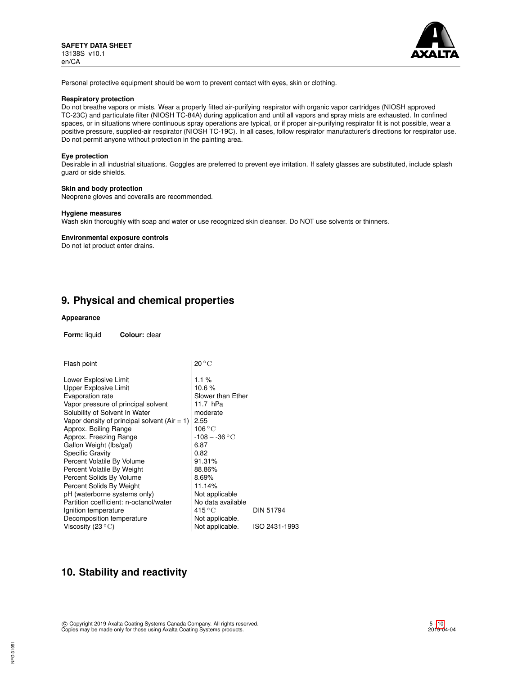

Personal protective equipment should be worn to prevent contact with eyes, skin or clothing.

### **Respiratory protection**

Do not breathe vapors or mists. Wear a properly fitted air-purifying respirator with organic vapor cartridges (NIOSH approved TC-23C) and particulate filter (NIOSH TC-84A) during application and until all vapors and spray mists are exhausted. In confined spaces, or in situations where continuous spray operations are typical, or if proper air-purifying respirator fit is not possible, wear a positive pressure, supplied-air respirator (NIOSH TC-19C). In all cases, follow respirator manufacturer's directions for respirator use. Do not permit anyone without protection in the painting area.

#### **Eye protection**

Desirable in all industrial situations. Goggles are preferred to prevent eye irritation. If safety glasses are substituted, include splash guard or side shields.

### **Skin and body protection**

Neoprene gloves and coveralls are recommended.

#### **Hygiene measures**

Wash skin thoroughly with soap and water or use recognized skin cleanser. Do NOT use solvents or thinners.

#### **Environmental exposure controls**

Do not let product enter drains.

# **9. Physical and chemical properties**

### **Appearance**

**Form:** liquid **Colour:** clear

| Flash point                                    | $20\,^{\circ}\mathrm{C}$  |                  |
|------------------------------------------------|---------------------------|------------------|
| Lower Explosive Limit                          | $1.1\%$                   |                  |
| <b>Upper Explosive Limit</b>                   | 10.6%                     |                  |
| Evaporation rate                               | Slower than Ether         |                  |
| Vapor pressure of principal solvent            | 11.7 hPa                  |                  |
| Solubility of Solvent In Water                 | moderate                  |                  |
| Vapor density of principal solvent $(Air = 1)$ | 2.55                      |                  |
| Approx. Boiling Range                          | $106\,^{\circ}\mathrm{C}$ |                  |
| Approx. Freezing Range                         | $-108 - -36$ °C           |                  |
| Gallon Weight (lbs/gal)                        | 6.87                      |                  |
| <b>Specific Gravity</b>                        | 0.82                      |                  |
| Percent Volatile By Volume                     | 91.31%                    |                  |
| Percent Volatile By Weight                     | 88.86%                    |                  |
| Percent Solids By Volume                       | 8.69%                     |                  |
| Percent Solids By Weight                       | 11.14%                    |                  |
| pH (waterborne systems only)                   | Not applicable            |                  |
| Partition coefficient: n-octanol/water         | No data available         |                  |
| Ignition temperature                           | $415^{\circ}$ C           | <b>DIN 51794</b> |
| Decomposition temperature                      | Not applicable.           |                  |
| Viscosity (23 $\rm ^{\circ}C)$                 | Not applicable.           | ISO 2431-1993    |

# **10. Stability and reactivity**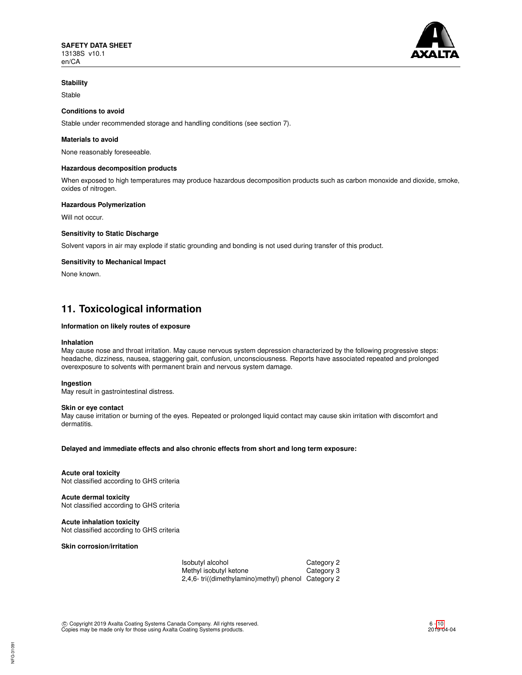

## **Stability**

Stable

## **Conditions to avoid**

Stable under recommended storage and handling conditions (see section 7).

## **Materials to avoid**

None reasonably foreseeable.

### **Hazardous decomposition products**

When exposed to high temperatures may produce hazardous decomposition products such as carbon monoxide and dioxide, smoke, oxides of nitrogen.

### **Hazardous Polymerization**

Will not occur.

## **Sensitivity to Static Discharge**

Solvent vapors in air may explode if static grounding and bonding is not used during transfer of this product.

### **Sensitivity to Mechanical Impact**

None known.

# **11. Toxicological information**

### **Information on likely routes of exposure**

#### **Inhalation**

May cause nose and throat irritation. May cause nervous system depression characterized by the following progressive steps: headache, dizziness, nausea, staggering gait, confusion, unconsciousness. Reports have associated repeated and prolonged overexposure to solvents with permanent brain and nervous system damage.

### **Ingestion**

May result in gastrointestinal distress.

#### **Skin or eye contact**

May cause irritation or burning of the eyes. Repeated or prolonged liquid contact may cause skin irritation with discomfort and dermatitis.

**Delayed and immediate effects and also chronic effects from short and long term exposure:**

**Acute oral toxicity** Not classified according to GHS criteria

## **Acute dermal toxicity**

Not classified according to GHS criteria

**Acute inhalation toxicity** Not classified according to GHS criteria

**Skin corrosion/irritation**

Isobutyl alcohol Category 2 Methyl isobutyl ketone **Category 3** 2,4,6- tri((dimethylamino)methyl) phenol Category 2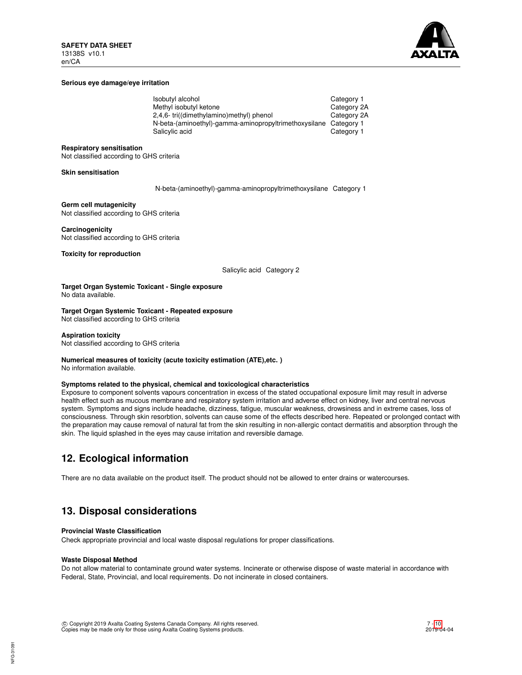

### **Serious eye damage/eye irritation**

| Isobutyl alcohol                                      | Category 1  |
|-------------------------------------------------------|-------------|
| Methyl isobutyl ketone                                | Category 2A |
| 2,4,6-tri((dimethylamino)methyl) phenol               | Category 2A |
| N-beta-(aminoethyl)-gamma-aminopropyltrimethoxysilane | Category 1  |
| Salicylic acid                                        | Category 1  |

#### **Respiratory sensitisation**

Not classified according to GHS criteria

#### **Skin sensitisation**

N-beta-(aminoethyl)-gamma-aminopropyltrimethoxysilane Category 1

**Germ cell mutagenicity** Not classified according to GHS criteria

**Carcinogenicity** Not classified according to GHS criteria

**Toxicity for reproduction**

Salicylic acid Category 2

**Target Organ Systemic Toxicant - Single exposure** No data available.

**Target Organ Systemic Toxicant - Repeated exposure** Not classified according to GHS criteria

**Aspiration toxicity** Not classified according to GHS criteria

# **Numerical measures of toxicity (acute toxicity estimation (ATE),etc. )**

No information available.

### **Symptoms related to the physical, chemical and toxicological characteristics**

Exposure to component solvents vapours concentration in excess of the stated occupational exposure limit may result in adverse health effect such as mucous membrane and respiratory system irritation and adverse effect on kidney, liver and central nervous system. Symptoms and signs include headache, dizziness, fatigue, muscular weakness, drowsiness and in extreme cases, loss of consciousness. Through skin resorbtion, solvents can cause some of the effects described here. Repeated or prolonged contact with the preparation may cause removal of natural fat from the skin resulting in non-allergic contact dermatitis and absorption through the skin. The liquid splashed in the eyes may cause irritation and reversible damage.

# **12. Ecological information**

There are no data available on the product itself. The product should not be allowed to enter drains or watercourses.

# **13. Disposal considerations**

#### **Provincial Waste Classification**

Check appropriate provincial and local waste disposal regulations for proper classifications.

#### **Waste Disposal Method**

Do not allow material to contaminate ground water systems. Incinerate or otherwise dispose of waste material in accordance with Federal, State, Provincial, and local requirements. Do not incinerate in closed containers.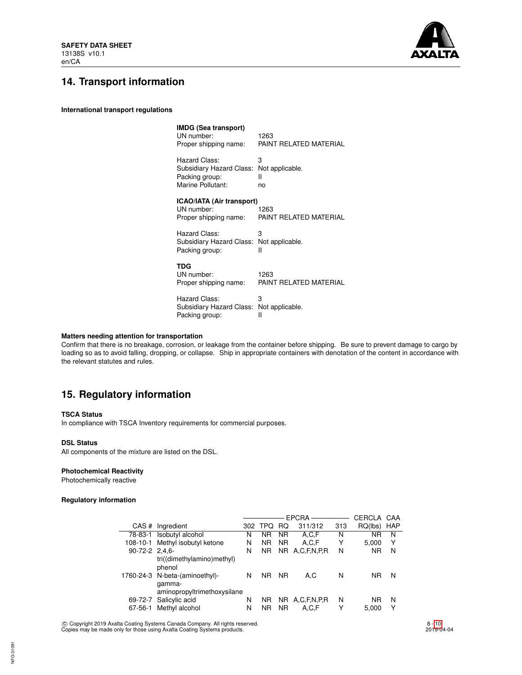

# **14. Transport information**

**International transport regulations**

| IMDG (Sea transport)<br>UN number:<br>Proper shipping name:      | 1263<br>PAINT RELATED MATERIAL |
|------------------------------------------------------------------|--------------------------------|
| Hazard Class:                                                    | 3                              |
| Subsidiary Hazard Class:                                         | Not applicable.                |
| Packing group:                                                   | н                              |
| Marine Pollutant:                                                | no                             |
| ICAO/IATA (Air transport)<br>UN number:<br>Proper shipping name: | 1263<br>PAINT RELATED MATERIAL |
| Hazard Class:                                                    | 3                              |
| Subsidiary Hazard Class:                                         | Not applicable.                |
| Packing group:                                                   | н                              |
| <b>TDG</b><br>UN number:<br>Proper shipping name:                | 1263<br>PAINT RELATED MATERIAL |
| Hazard Class:                                                    | 3                              |
| Subsidiary Hazard Class:                                         | Not applicable.                |
| Packing group:                                                   | Ш                              |

## **Matters needing attention for transportation**

Confirm that there is no breakage, corrosion, or leakage from the container before shipping. Be sure to prevent damage to cargo by loading so as to avoid falling, dropping, or collapse. Ship in appropriate containers with denotation of the content in accordance with the relevant statutes and rules.

# **15. Regulatory information**

### **TSCA Status**

In compliance with TSCA Inventory requirements for commercial purposes.

#### **DSL Status**

All components of the mixture are listed on the DSL.

## **Photochemical Reactivity**

Photochemically reactive

## **Regulatory information**

|                  |                                       |     |            |           | <b>EPCRA</b>   |     | CERCLA    | CAA        |
|------------------|---------------------------------------|-----|------------|-----------|----------------|-----|-----------|------------|
| CAS#             | Ingredient                            | 302 | <b>TPQ</b> | <b>RQ</b> | 311/312        | 313 | RQ(lbs)   | <b>HAP</b> |
| 78-83-1          | Isobutyl alcohol                      | N   | ΝR         | <b>NR</b> | A,C,F          | N   | <b>NR</b> | N          |
| 108-10-1         | Methyl isobutyl ketone                | N   | <b>NR</b>  | <b>NR</b> | A,C,F          | Y   | 5,000     | Υ          |
| $90-72-2$ 2.4.6- |                                       | N   | NR.        |           | NR A.C.F.N.P.R | N   | <b>NR</b> | N          |
|                  | tri((dimethylamino)methyl)<br>phenol  |     |            |           |                |     |           |            |
|                  | 1760-24-3 N-beta-(aminoethyl)-        | N   | <b>NR</b>  | <b>NR</b> | A.C            | N   | ΝR        | N          |
|                  | qamma-<br>aminopropyltrimethoxysilane |     |            |           |                |     |           |            |
| 69-72-7          | Salicylic acid                        | N   | ΝR         |           | NR A.C.F.N.P.R | N   | <b>NR</b> | N          |
| 67-56-1          | Methyl alcohol                        | N   | ΝR         | <b>NR</b> | A,C,F          | Υ   | 5,000     | Υ          |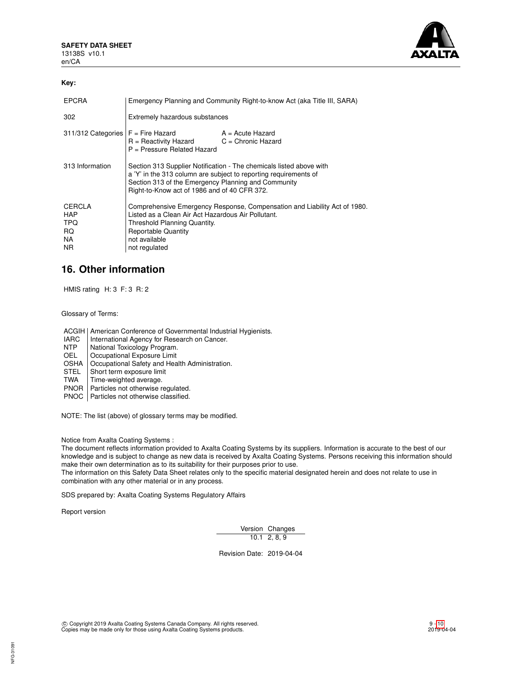

## **Key:**

| <b>EPCRA</b>                                           | Emergency Planning and Community Right-to-know Act (aka Title III, SARA)                                                                                                                                                                       |  |  |
|--------------------------------------------------------|------------------------------------------------------------------------------------------------------------------------------------------------------------------------------------------------------------------------------------------------|--|--|
| 302                                                    | Extremely hazardous substances                                                                                                                                                                                                                 |  |  |
|                                                        | $311/312$ Categories $F =$ Fire Hazard $A =$ Acute Hazard<br>$R =$ Reactivity Hazard $C =$ Chronic Hazard<br>P = Pressure Related Hazard                                                                                                       |  |  |
| 313 Information                                        | Section 313 Supplier Notification - The chemicals listed above with<br>a 'Y' in the 313 column are subject to reporting requirements of<br>Section 313 of the Emergency Planning and Community<br>Right-to-Know act of 1986 and of 40 CFR 372. |  |  |
| CERCLA<br><b>HAP</b><br>TPQ<br>RQ.<br>NA.<br><b>NR</b> | Comprehensive Emergency Response, Compensation and Liability Act of 1980.<br>Listed as a Clean Air Act Hazardous Air Pollutant.<br>Threshold Planning Quantity.<br><b>Reportable Quantity</b><br>not available<br>not regulated                |  |  |

# **16. Other information**

HMIS rating H: 3 F: 3 R: 2

Glossary of Terms:

ACGIH | American Conference of Governmental Industrial Hygienists.

- IARC | International Agency for Research on Cancer.<br>
NTP | National Toxicology Program.
- NTP National Toxicology Program.<br>OEL Cocupational Exposure Limit
- Occupational Exposure Limit
- OSHA | Occupational Safety and Health Administration.<br>STEL | Short term exposure limit
- STEL Short term exposure limit<br>TWA Time-weighted average.
- Time-weighted average.
- PNOR | Particles not otherwise regulated.

PNOC | Particles not otherwise classified.

NOTE: The list (above) of glossary terms may be modified.

Notice from Axalta Coating Systems :

The document reflects information provided to Axalta Coating Systems by its suppliers. Information is accurate to the best of our knowledge and is subject to change as new data is received by Axalta Coating Systems. Persons receiving this information should make their own determination as to its suitability for their purposes prior to use.

The information on this Safety Data Sheet relates only to the specific material designated herein and does not relate to use in combination with any other material or in any process.

SDS prepared by: Axalta Coating Systems Regulatory Affairs

Report version

Version Changes  $10.1$  2, 8, 9

Revision Date: 2019-04-04